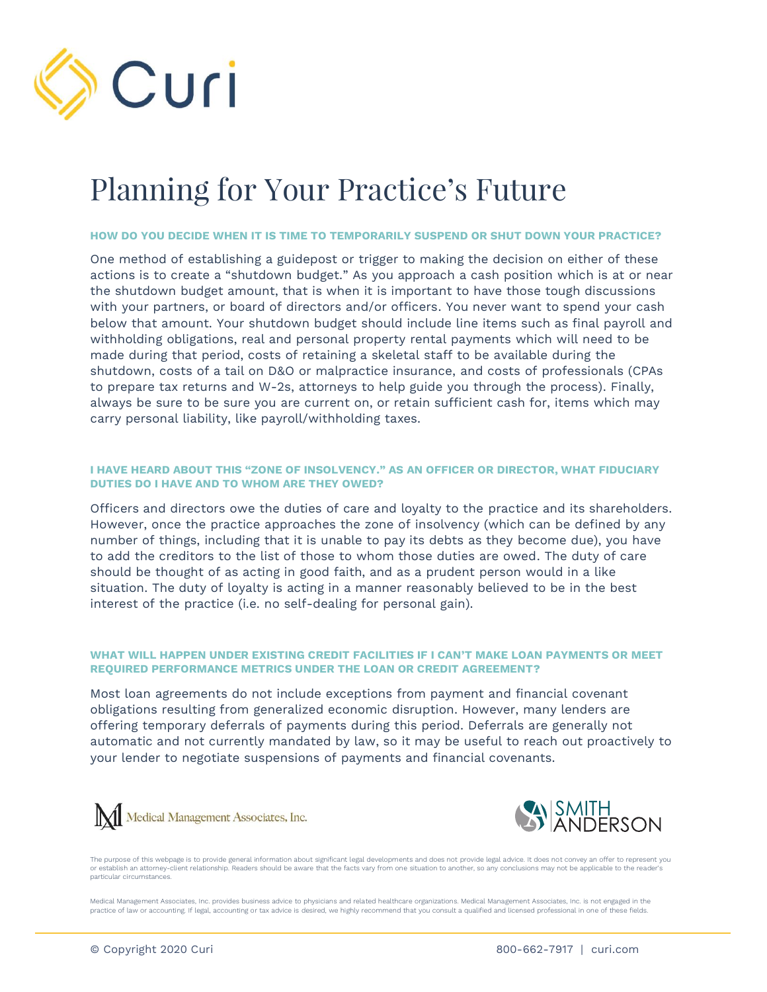

# Planning for Your Practice's Future

#### **HOW DO YOU DECIDE WHEN IT IS TIME TO TEMPORARILY SUSPEND OR SHUT DOWN YOUR PRACTICE?**

One method of establishing a guidepost or trigger to making the decision on either of these actions is to create a "shutdown budget." As you approach a cash position which is at or near the shutdown budget amount, that is when it is important to have those tough discussions with your partners, or board of directors and/or officers. You never want to spend your cash below that amount. Your shutdown budget should include line items such as final payroll and withholding obligations, real and personal property rental payments which will need to be made during that period, costs of retaining a skeletal staff to be available during the shutdown, costs of a tail on D&O or malpractice insurance, and costs of professionals (CPAs to prepare tax returns and W-2s, attorneys to help guide you through the process). Finally, always be sure to be sure you are current on, or retain sufficient cash for, items which may carry personal liability, like payroll/withholding taxes.

# **I HAVE HEARD ABOUT THIS "ZONE OF INSOLVENCY." AS AN OFFICER OR DIRECTOR, WHAT FIDUCIARY DUTIES DO I HAVE AND TO WHOM ARE THEY OWED?**

Officers and directors owe the duties of care and loyalty to the practice and its shareholders. However, once the practice approaches the zone of insolvency (which can be defined by any number of things, including that it is unable to pay its debts as they become due), you have to add the creditors to the list of those to whom those duties are owed. The duty of care should be thought of as acting in good faith, and as a prudent person would in a like situation. The duty of loyalty is acting in a manner reasonably believed to be in the best interest of the practice (i.e. no self-dealing for personal gain).

# **WHAT WILL HAPPEN UNDER EXISTING CREDIT FACILITIES IF I CAN'T MAKE LOAN PAYMENTS OR MEET REQUIRED PERFORMANCE METRICS UNDER THE LOAN OR CREDIT AGREEMENT?**

Most loan agreements do not include exceptions from payment and financial covenant obligations resulting from generalized economic disruption. However, many lenders are offering temporary deferrals of payments during this period. Deferrals are generally not automatic and not currently mandated by law, so it may be useful to reach out proactively to your lender to negotiate suspensions of payments and financial covenants.





The purpose of this webpage is to provide general information about significant legal developments and does not provide legal advice. It does not convey an offer to represent you or establish an attorney-client relationship. Readers should be aware that the facts vary from one situation to another, so any conclusions may not be applicable to the reader's particular circumstances.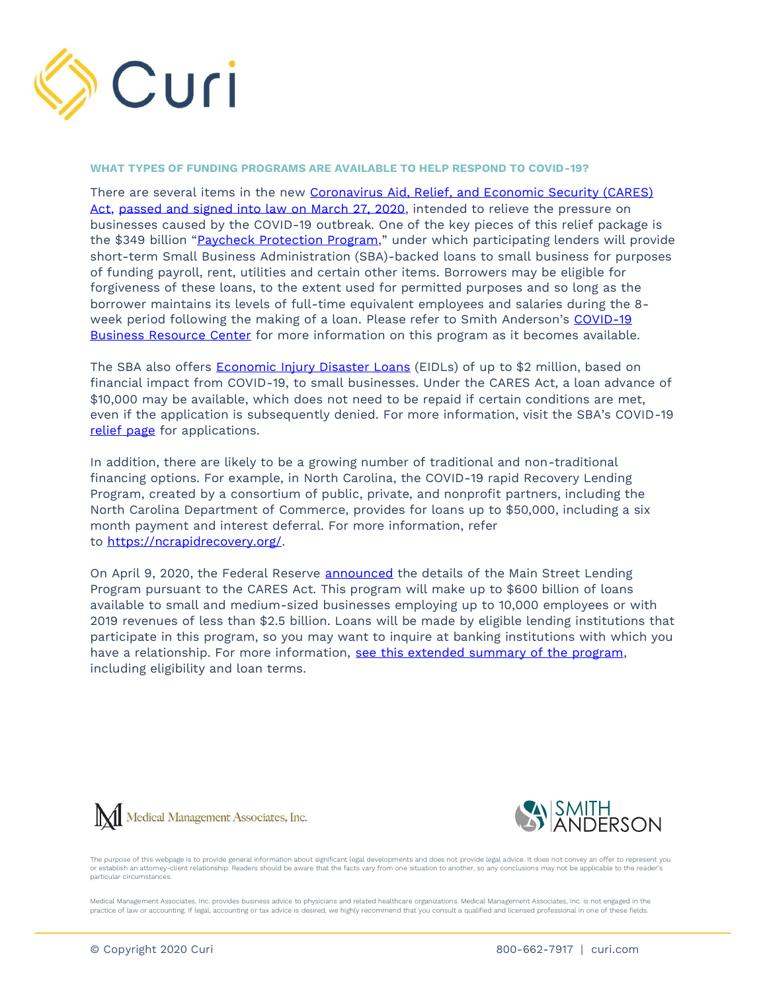

#### **WHAT TYPES OF FUNDING PROGRAMS ARE AVAILABLE TO HELP RESPOND TO COVID-19?**

There are several items in the new [Coronavirus Aid, Relief, and Economic Security \(CARES\)](https://www.smithlaw.com/resources-publications-1485)  [Act,](https://www.smithlaw.com/resources-publications-1485) [passed and signed into law on March 27, 2020,](https://www.congress.gov/bill/116th-congress/house-bill/6074/actions?KWICView=false) intended to relieve the pressure on businesses caused by the COVID-19 outbreak. One of the key pieces of this relief package is the \$349 billion "[Paycheck Protection Program](https://www.sba.gov/funding-programs/loans/paycheck-protection-program)," under which participating lenders will provide short-term Small Business Administration (SBA)-backed loans to small business for purposes of funding payroll, rent, utilities and certain other items. Borrowers may be eligible for forgiveness of these loans, to the extent used for permitted purposes and so long as the borrower maintains its levels of full-time equivalent employees and salaries during the 8 week period following the making of a loan. Please refer to Smith Anderson's COVID-19 [Business Resource Center](https://www.smithlaw.com/practices-covid19-business-resource-center) for more information on this program as it becomes available.

The SBA also offers [Economic Injury Disaster Loans](https://covid19relief.sba.gov/#/) (EIDLs) of up to \$2 million, based on financial impact from COVID-19, to small businesses. Under the CARES Act, a loan advance of \$10,000 may be available, which does not need to be repaid if certain conditions are met, even if the application is subsequently denied. For more information, visit the SBA's COVID-19 [relief page](https://covid19relief.sba.gov/#/) for applications.

In addition, there are likely to be a growing number of traditional and non-traditional financing options. For example, in North Carolina, the COVID-19 rapid Recovery Lending Program, created by a consortium of public, private, and nonprofit partners, including the North Carolina Department of Commerce, provides for loans up to \$50,000, including a six month payment and interest deferral. For more information, refer to [https://ncrapidrecovery.org/.](https://ncrapidrecovery.org/)

On April 9, 2020, the Federal Reserve [announced](https://www.federalreserve.gov/newsevents/pressreleases/monetary20200409a.htm) the details of the Main Street Lending Program pursuant to the CARES Act. This program will make up to \$600 billion of loans available to small and medium-sized businesses employing up to 10,000 employees or with 2019 revenues of less than \$2.5 billion. Loans will be made by eligible lending institutions that participate in this program, so you may want to inquire at banking institutions with which you have a relationship. For more information, [see this extended summary of the program,](https://www.smithlaw.com/resources-publications-1524) including eligibility and loan terms.





The purpose of this webpage is to provide general information about significant legal developments and does not provide legal advice. It does not convey an offer to represent you or establish an attorney-client relationship. Readers should be aware that the facts vary from one situation to another, so any conclusions may not be applicable to the reader's particular circumstances.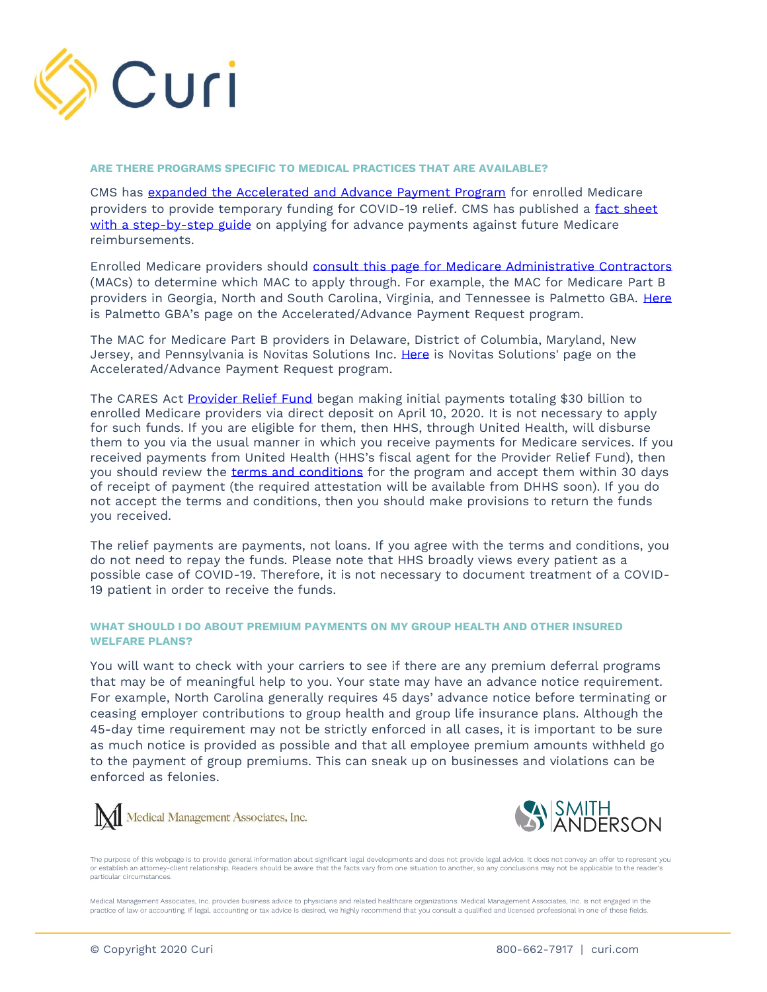

#### **ARE THERE PROGRAMS SPECIFIC TO MEDICAL PRACTICES THAT ARE AVAILABLE?**

CMS has [expanded the Accelerated and Advance Payment Program](https://www.cms.gov/newsroom/press-releases/trump-administration-provides-financial-relief-medicare-providers) for enrolled Medicare providers to provide temporary funding for COVID-19 relief. CMS has published a fact sheet [with a step-by-step guide](https://www.cms.gov/files/document/Accelerated-and-Advanced-Payments-Fact-Sheet.pdf) on applying for advance payments against future Medicare reimbursements.

Enrolled Medicare providers should [consult this page for Medicare Administrative Contractors](https://www.cms.gov/Medicare/Medicare-Contracting/Medicare-Administrative-Contractors/Who-are-the-MACs) (MACs) to determine which MAC to apply through. For example, the MAC for Medicare Part B providers in Georgia, North and South Carolina, Virginia, and Tennessee is Palmetto GBA. [Here](https://www.palmettogba.com/Palmetto/Providers.nsf/docsR/JM%20Part%20B~Browse%20by%20Topic~Overpayments%20and%20Recoupment~COVID-19%20AcceleratedAdvance%20Payment%20Request?open&Expand=1) is Palmetto GBA's page on the Accelerated/Advance Payment Request program.

The MAC for Medicare Part B providers in Delaware, District of Columbia, Maryland, New Jersey, and Pennsylvania is Novitas Solutions Inc. [Here](https://www.novitas-solutions.com/webcenter/portal/MedicareJL/pagebyid?contentId=00226104) is Novitas Solutions' page on the Accelerated/Advance Payment Request program.

The CARES Act [Provider Relief Fund](https://www.hhs.gov/provider-relief/index.html) began making initial payments totaling \$30 billion to enrolled Medicare providers via direct deposit on April 10, 2020. It is not necessary to apply for such funds. If you are eligible for them, then HHS, through United Health, will disburse them to you via the usual manner in which you receive payments for Medicare services. If you received payments from United Health (HHS's fiscal agent for the Provider Relief Fund), then you should review the [terms and conditions](https://www.hhs.gov/sites/default/files/relief-fund-payment-terms-and-conditions-04132020.pdf) for the program and accept them within 30 days of receipt of payment (the required attestation will be available from DHHS soon). If you do not accept the terms and conditions, then you should make provisions to return the funds you received.

The relief payments are payments, not loans. If you agree with the terms and conditions, you do not need to repay the funds. Please note that HHS broadly views every patient as a possible case of COVID-19. Therefore, it is not necessary to document treatment of a COVID-19 patient in order to receive the funds.

# **WHAT SHOULD I DO ABOUT PREMIUM PAYMENTS ON MY GROUP HEALTH AND OTHER INSURED WELFARE PLANS?**

You will want to check with your carriers to see if there are any premium deferral programs that may be of meaningful help to you. Your state may have an advance notice requirement. For example, North Carolina generally requires 45 days' advance notice before terminating or ceasing employer contributions to group health and group life insurance plans. Although the 45-day time requirement may not be strictly enforced in all cases, it is important to be sure as much notice is provided as possible and that all employee premium amounts withheld go to the payment of group premiums. This can sneak up on businesses and violations can be enforced as felonies.





The purpose of this webpage is to provide general information about significant legal developments and does not provide legal advice. It does not convey an offer to represent you or establish an attorney-client relationship. Readers should be aware that the facts vary from one situation to another, so any conclusions may not be applicable to the reader's particular circumstances.